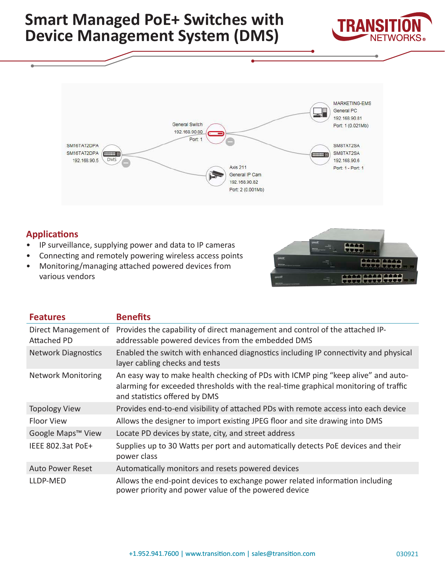



## **Applications**

- IP surveillance, supplying power and data to IP cameras
- Connecting and remotely powering wireless access points
- Monitoring/managing attached powered devices from various vendors



| <b>Features</b>                     | <b>Benefits</b>                                                                                                                                                                                          |  |
|-------------------------------------|----------------------------------------------------------------------------------------------------------------------------------------------------------------------------------------------------------|--|
| Direct Management of<br>Attached PD | Provides the capability of direct management and control of the attached IP-<br>addressable powered devices from the embedded DMS                                                                        |  |
| <b>Network Diagnostics</b>          | Enabled the switch with enhanced diagnostics including IP connectivity and physical<br>layer cabling checks and tests                                                                                    |  |
| <b>Network Monitoring</b>           | An easy way to make health checking of PDs with ICMP ping "keep alive" and auto-<br>alarming for exceeded thresholds with the real-time graphical monitoring of traffic<br>and statistics offered by DMS |  |
| <b>Topology View</b>                | Provides end-to-end visibility of attached PDs with remote access into each device                                                                                                                       |  |
| <b>Floor View</b>                   | Allows the designer to import existing JPEG floor and site drawing into DMS                                                                                                                              |  |
| Google Maps <sup>™</sup> View       | Locate PD devices by state, city, and street address                                                                                                                                                     |  |
| IEEE 802.3at PoE+                   | Supplies up to 30 Watts per port and automatically detects PoE devices and their<br>power class                                                                                                          |  |
| <b>Auto Power Reset</b>             | Automatically monitors and resets powered devices                                                                                                                                                        |  |
| LLDP-MED                            | Allows the end-point devices to exchange power related information including<br>power priority and power value of the powered device                                                                     |  |